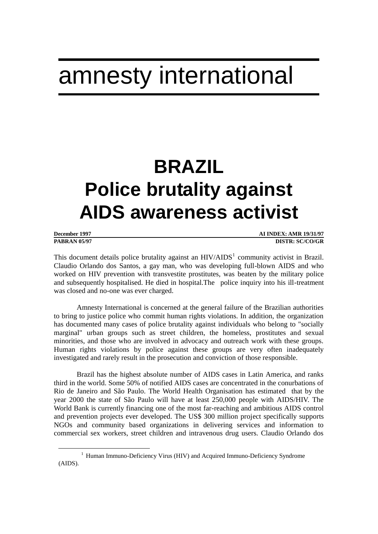# amnesty international

# **BRAZIL Police brutality against AIDS awareness activist**

| December 1997       | <b>AI INDEX: AMR 19/31/97</b> |
|---------------------|-------------------------------|
| <b>PARRAN 05/97</b> | DISTR: SC/CO/GR               |

**PABRAN 05/97 DISTR: SC/CO/GR**

This document details police brutality against an  $HIV/ALDS<sup>1</sup>$  community activist in Brazil. Claudio Orlando dos Santos, a gay man, who was developing full-blown AIDS and who worked on HIV prevention with transvestite prostitutes, was beaten by the military police and subsequently hospitalised. He died in hospital.The police inquiry into his ill-treatment was closed and no-one was ever charged.

Amnesty International is concerned at the general failure of the Brazilian authorities to bring to justice police who commit human rights violations. In addition, the organization has documented many cases of police brutality against individuals who belong to "socially marginal" urban groups such as street children, the homeless, prostitutes and sexual minorities, and those who are involved in advocacy and outreach work with these groups. Human rights violations by police against these groups are very often inadequately investigated and rarely result in the prosecution and conviction of those responsible.

Brazil has the highest absolute number of AIDS cases in Latin America, and ranks third in the world. Some 50% of notified AIDS cases are concentrated in the conurbations of Rio de Janeiro and São Paulo. The World Health Organisation has estimated that by the year 2000 the state of São Paulo will have at least 250,000 people with AIDS/HIV. The World Bank is currently financing one of the most far-reaching and ambitious AIDS control and prevention projects ever developed. The US\$ 300 million project specifically supports NGOs and community based organizations in delivering services and information to commercial sex workers, street children and intravenous drug users. Claudio Orlando dos

 $\overline{a}$ 

<sup>&</sup>lt;sup>1</sup> Human Immuno-Deficiency Virus (HIV) and Acquired Immuno-Deficiency Syndrome (AIDS).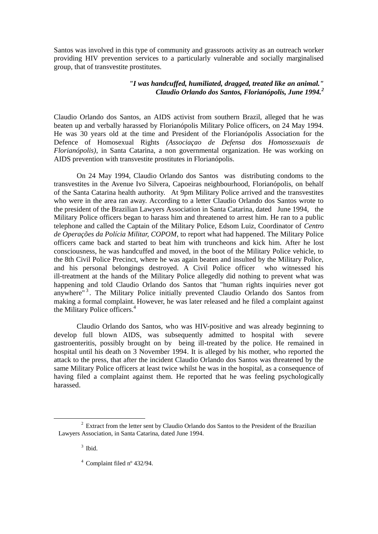Santos was involved in this type of community and grassroots activity as an outreach worker providing HIV prevention services to a particularly vulnerable and socially marginalised group, that of transvestite prostitutes.

## *"I was handcuffed, humiliated, dragged, treated like an animal." Claudio Orlando dos Santos, Florianópolis, June 1994.<sup>2</sup>*

Claudio Orlando dos Santos, an AIDS activist from southern Brazil, alleged that he was beaten up and verbally harassed by Florianópolis Military Police officers, on 24 May 1994. He was 30 years old at the time and President of the Florianópolis Association for the Defence of Homosexual Rights *(Associaçao de Defensa dos Homossexuais de Florianópolis)*, in Santa Catarina, a non governmental organization. He was working on AIDS prevention with transvestite prostitutes in Florianópolis.

On 24 May 1994, Claudio Orlando dos Santos was distributing condoms to the transvestites in the Avenue Ivo Silvera, Capoeiras neighbourhood, Florianópolis, on behalf of the Santa Catarina health authority. At 9pm Military Police arrived and the transvestites who were in the area ran away. According to a letter Claudio Orlando dos Santos wrote to the president of the Brazilian Lawyers Association in Santa Catarina, dated June 1994, the Military Police officers began to harass him and threatened to arrest him. He ran to a public telephone and called the Captain of the Military Police, Edsom Luiz, Coordinator of *Centro de Operações da Polícia Militar, COPOM*, to report what had happened. The Military Police officers came back and started to beat him with truncheons and kick him. After he lost consciousness, he was handcuffed and moved, in the boot of the Military Police vehicle, to the 8th Civil Police Precinct, where he was again beaten and insulted by the Military Police, and his personal belongings destroyed. A Civil Police officer who witnessed his ill-treatment at the hands of the Military Police allegedly did nothing to prevent what was happening and told Claudio Orlando dos Santos that "human rights inquiries never got anywhere"<sup>3</sup>. The Military Police initially prevented Claudio Orlando dos Santos from making a formal complaint. However, he was later released and he filed a complaint against the Military Police officers.<sup>4</sup>

Claudio Orlando dos Santos, who was HIV-positive and was already beginning to develop full blown AIDS, was subsequently admitted to hospital with severe gastroenteritis, possibly brought on by being ill-treated by the police. He remained in hospital until his death on 3 November 1994. It is alleged by his mother, who reported the attack to the press, that after the incident Claudio Orlando dos Santos was threatened by the same Military Police officers at least twice whilst he was in the hospital, as a consequence of having filed a complaint against them. He reported that he was feeling psychologically harassed.

 $\overline{a}$ 

<sup>&</sup>lt;sup>2</sup> Extract from the letter sent by Claudio Orlando dos Santos to the President of the Brazilian Lawyers Association, in Santa Catarina, dated June 1994.

<sup>3</sup> Ibid.

<sup>4</sup> Complaint filed nº 432/94.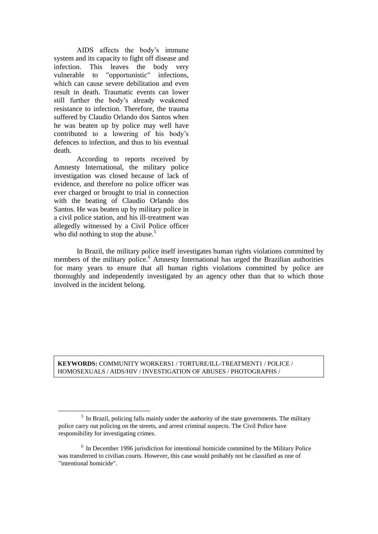AIDS affects the body's immune system and its capacity to fight off disease and infection. This leaves the body very vulnerable to "opportunistic" infections, which can cause severe debilitation and even result in death. Traumatic events can lower still further the body's already weakened resistance to infection. Therefore, the trauma suffered by Claudio Orlando dos Santos when he was beaten up by police may well have contributed to a lowering of his body's defences to infection, and thus to his eventual death.

According to reports received by Amnesty International, the military police investigation was closed because of lack of evidence, and therefore no police officer was ever charged or brought to trial in connection with the beating of Claudio Orlando dos Santos. He was beaten up by military police in a civil police station, and his ill-treatment was allegedly witnessed by a Civil Police officer who did nothing to stop the abuse.<sup>5</sup>

 $\overline{a}$ 

In Brazil, the military police itself investigates human rights violations committed by members of the military police.<sup>6</sup> Amnesty International has urged the Brazilian authorities for many years to ensure that all human rights violations committed by police are thoroughly and independently investigated by an agency other than that to which those involved in the incident belong.

### **KEYWORDS:** COMMUNITY WORKERS1 / TORTURE/ILL-TREATMENT1 / POLICE / HOMOSEXUALS / AIDS/HIV / INVESTIGATION OF ABUSES / PHOTOGRAPHS /

 $<sup>5</sup>$  In Brazil, policing falls mainly under the authority of the state governments. The military</sup> police carry out policing on the streets, and arrest criminal suspects. The Civil Police have responsibility for investigating crimes.

<sup>&</sup>lt;sup>6</sup> In December 1996 jurisdiction for intentional homicide committed by the Military Police was transferred to civilian courts. However, this case would probably not be classified as one of "intentional homicide".